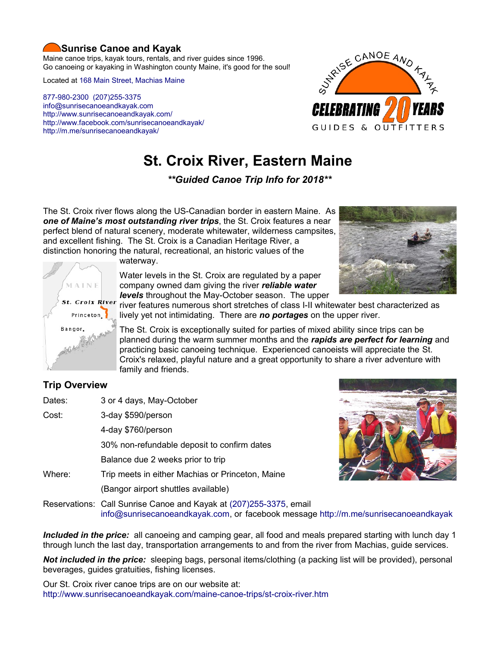# **Sunrise Canoe and Kayak**

Maine canoe trips, kayak tours, rentals, and river guides since 1996. Go canoeing or kayaking in Washington county Maine, it's good for the soul!

Located at [168 Main Street, Machias Maine](https://www.google.com/maps/place/Sunrise+Canoe+and+Kayak/@44.7213453,-67.4499306,520m/data=!3m2!1e3!4b1!4m5!3m4!1s0x4ca8cddc0180f8e7:0x696322ccd6ce6621!8m2!3d44.7213415!4d-67.4477419?hl=en)

[877-980-2300](tel:+1-877-980-2300) [\(207\)255-3375](tel:+1-207-255-3375) [info@sunrisecanoeandkayak.com](mailto:info@sunrisecanoeandkayak.com) <http://www.sunrisecanoeandkayak.com/> [http://www.facebook.com/sunrisecanoeandkayak/](https://www.facebook.com/sunrisecanoeandkayak/) <http://m.me/sunrisecanoeandkayak/>



# **St. Croix River, Eastern Maine**

*\*\*Guided Canoe Trip Info for 2018\*\**

The St. Croix river flows along the US-Canadian border in eastern Maine. As *one of Maine's most outstanding river trips*, the St. Croix features a near perfect blend of natural scenery, moderate whitewater, wilderness campsites, and excellent fishing. The St. Croix is a Canadian Heritage River, a distinction honoring the natural, recreational, an historic values of the



waterway.

Water levels in the St. Croix are regulated by a paper company owned dam giving the river *reliable water levels* throughout the May-October season. The upper



river features numerous short stretches of class I-II whitewater best characterized as lively yet not intimidating. There are *no portages* on the upper river.

The St. Croix is exceptionally suited for parties of mixed ability since trips can be planned during the warm summer months and the *rapids are perfect for learning* and practicing basic canoeing technique. Experienced canoeists will appreciate the St. Croix's relaxed, playful nature and a great opportunity to share a river adventure with family and friends.

# **Trip Overview**

| Dates: | 3 or 4 days, May-October                         |
|--------|--------------------------------------------------|
| Cost:  | 3-day \$590/person                               |
|        | 4-day \$760/person                               |
|        | 30% non-refundable deposit to confirm dates      |
|        | Balance due 2 weeks prior to trip                |
| Where: | Trip meets in either Machias or Princeton, Maine |
|        | (Bangor airport shuttles available)              |
|        |                                                  |



Reservations: Call Sunrise Canoe and Kayak at [\(207\)255-3375,](tel:+1-207-255-3375) email [info@sunrisecanoeandkayak.com,](mailto:info@sunrisecanoeandkayak.com) or facebook message<http://m.me/sunrisecanoeandkayak>

*Included in the price:* all canoeing and camping gear, all food and meals prepared starting with lunch day 1 through lunch the last day, transportation arrangements to and from the river from Machias, guide services.

*Not included in the price:* sleeping bags, personal items/clothing (a packing list will be provided), personal beverages, guides gratuities, fishing licenses.

Our St. Croix river canoe trips are on our website at: <http://www.sunrisecanoeandkayak.com/maine-canoe-trips/st-croix-river.htm>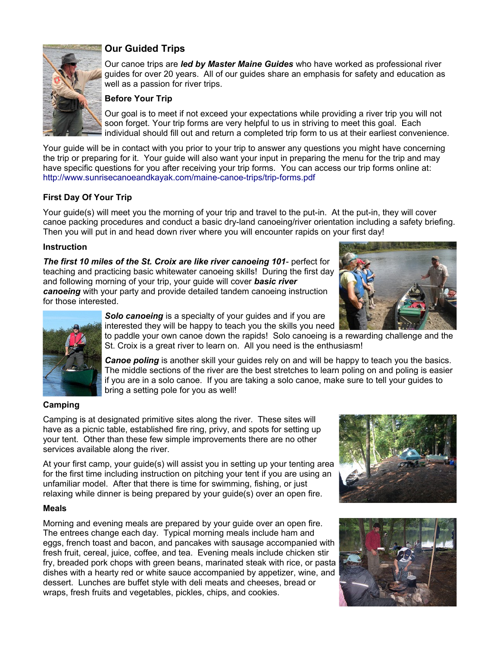

# **Our Guided Trips**

Our canoe trips are *led by Master Maine Guides* who have worked as professional river guides for over 20 years. All of our guides share an emphasis for safety and education as well as a passion for river trips.

#### **Before Your Trip**

Our goal is to meet if not exceed your expectations while providing a river trip you will not soon forget. Your trip forms are very helpful to us in striving to meet this goal. Each individual should fill out and return a completed trip form to us at their earliest convenience.

Your guide will be in contact with you prior to your trip to answer any questions you might have concerning the trip or preparing for it. Your guide will also want your input in preparing the menu for the trip and may have specific questions for you after receiving your trip forms. You can access our trip forms online at: <http://www.sunrisecanoeandkayak.com/maine-canoe-trips/trip-forms.pdf>

# **First Day Of Your Trip**

Your guide(s) will meet you the morning of your trip and travel to the put-in. At the put-in, they will cover canoe packing procedures and conduct a basic dry-land canoeing/river orientation including a safety briefing. Then you will put in and head down river where you will encounter rapids on your first day!

#### **Instruction**

*The first 10 miles of the St. Croix are like river canoeing 101*- perfect for teaching and practicing basic whitewater canoeing skills! During the first day and following morning of your trip, your guide will cover *basic river canoeing* with your party and provide detailed tandem canoeing instruction for those interested.





*Solo canoeing* is a specialty of your guides and if you are interested they will be happy to teach you the skills you need

to paddle your own canoe down the rapids! Solo canoeing is a rewarding challenge and the St. Croix is a great river to learn on. All you need is the enthusiasm!

*Canoe poling* is another skill your guides rely on and will be happy to teach you the basics. The middle sections of the river are the best stretches to learn poling on and poling is easier if you are in a solo canoe. If you are taking a solo canoe, make sure to tell your guides to bring a setting pole for you as well!

#### **Camping**

Camping is at designated primitive sites along the river. These sites will have as a picnic table, established fire ring, privy, and spots for setting up your tent. Other than these few simple improvements there are no other services available along the river.

At your first camp, your guide(s) will assist you in setting up your tenting area for the first time including instruction on pitching your tent if you are using an unfamiliar model. After that there is time for swimming, fishing, or just relaxing while dinner is being prepared by your guide(s) over an open fire.

#### **Meals**

Morning and evening meals are prepared by your guide over an open fire. The entrees change each day. Typical morning meals include ham and eggs, french toast and bacon, and pancakes with sausage accompanied with fresh fruit, cereal, juice, coffee, and tea. Evening meals include chicken stir fry, breaded pork chops with green beans, marinated steak with rice, or pasta dishes with a hearty red or white sauce accompanied by appetizer, wine, and dessert. Lunches are buffet style with deli meats and cheeses, bread or wraps, fresh fruits and vegetables, pickles, chips, and cookies.



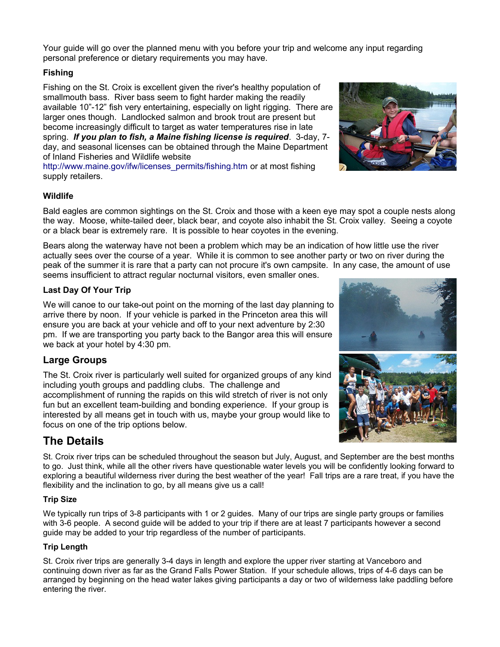Your guide will go over the planned menu with you before your trip and welcome any input regarding personal preference or dietary requirements you may have.

# **Fishing**

Fishing on the St. Croix is excellent given the river's healthy population of smallmouth bass. River bass seem to fight harder making the readily available 10"-12" fish very entertaining, especially on light rigging. There are larger ones though. Landlocked salmon and brook trout are present but become increasingly difficult to target as water temperatures rise in late spring. *If you plan to fish, a Maine fishing license is required*. 3-day, 7 day, and seasonal licenses can be obtained through the Maine Department of Inland Fisheries and Wildlife website

[http://www.maine.gov/ifw/licenses\\_permits/fishing.htm](http://www.maine.gov/ifw/licenses_permits/fishing.htm) or at most fishing supply retailers.

### **Wildlife**

Bald eagles are common sightings on the St. Croix and those with a keen eye may spot a couple nests along the way. Moose, white-tailed deer, black bear, and coyote also inhabit the St. Croix valley. Seeing a coyote or a black bear is extremely rare. It is possible to hear coyotes in the evening.

Bears along the waterway have not been a problem which may be an indication of how little use the river actually sees over the course of a year. While it is common to see another party or two on river during the peak of the summer it is rare that a party can not procure it's own campsite. In any case, the amount of use seems insufficient to attract regular nocturnal visitors, even smaller ones.

### **Last Day Of Your Trip**

We will canoe to our take-out point on the morning of the last day planning to arrive there by noon. If your vehicle is parked in the Princeton area this will ensure you are back at your vehicle and off to your next adventure by 2:30 pm. If we are transporting you party back to the Bangor area this will ensure we back at your hotel by 4:30 pm.

# **Large Groups**

The St. Croix river is particularly well suited for organized groups of any kind including youth groups and paddling clubs. The challenge and accomplishment of running the rapids on this wild stretch of river is not only fun but an excellent team-building and bonding experience. If your group is interested by all means get in touch with us, maybe your group would like to focus on one of the trip options below.

# **The Details**

St. Croix river trips can be scheduled throughout the season but July, August, and September are the best months to go. Just think, while all the other rivers have questionable water levels you will be confidently looking forward to exploring a beautiful wilderness river during the best weather of the year! Fall trips are a rare treat, if you have the flexibility and the inclination to go, by all means give us a call!

### **Trip Size**

We typically run trips of 3-8 participants with 1 or 2 quides. Many of our trips are single party groups or families with 3-6 people. A second guide will be added to your trip if there are at least 7 participants however a second guide may be added to your trip regardless of the number of participants.

### **Trip Length**

St. Croix river trips are generally 3-4 days in length and explore the upper river starting at Vanceboro and continuing down river as far as the Grand Falls Power Station. If your schedule allows, trips of 4-6 days can be arranged by beginning on the head water lakes giving participants a day or two of wilderness lake paddling before entering the river.